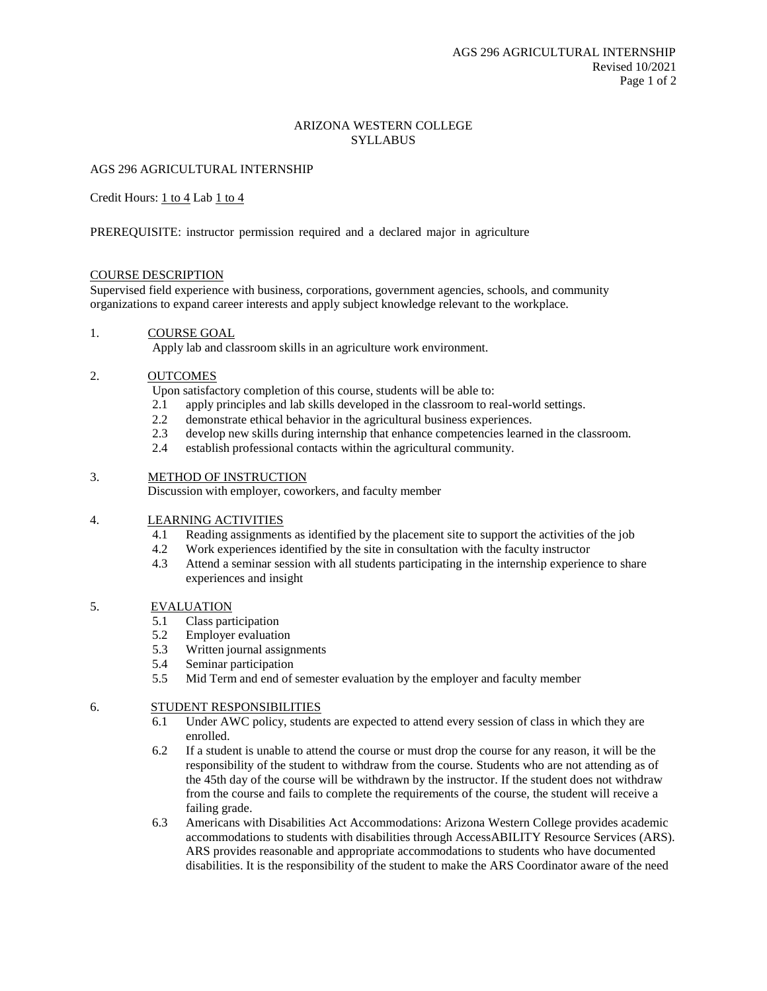# ARIZONA WESTERN COLLEGE **SYLLABUS**

# AGS 296 AGRICULTURAL INTERNSHIP

Credit Hours: 1 to 4 Lab 1 to 4

PREREQUISITE: instructor permission required and a declared major in agriculture

### COURSE DESCRIPTION

Supervised field experience with business, corporations, government agencies, schools, and community organizations to expand career interests and apply subject knowledge relevant to the workplace.

#### 1. COURSE GOAL

Apply lab and classroom skills in an agriculture work environment.

### 2. OUTCOMES

Upon satisfactory completion of this course, students will be able to:

- 2.1 apply principles and lab skills developed in the classroom to real-world settings.
- 2.2 demonstrate ethical behavior in the agricultural business experiences.
- 2.3 develop new skills during internship that enhance competencies learned in the classroom.
- 2.4 establish professional contacts within the agricultural community.

#### 3. METHOD OF INSTRUCTION

Discussion with employer, coworkers, and faculty member

#### 4. LEARNING ACTIVITIES

- 4.1 Reading assignments as identified by the placement site to support the activities of the job
- 4.2 Work experiences identified by the site in consultation with the faculty instructor
- 4.3 Attend a seminar session with all students participating in the internship experience to share experiences and insight

### 5. EVALUATION

- 5.1 Class participation
- 5.2 Employer evaluation
- 5.3 Written journal assignments
- 5.4 Seminar participation
- 5.5 Mid Term and end of semester evaluation by the employer and faculty member

# 6. STUDENT RESPONSIBILITIES

- 6.1 Under AWC policy, students are expected to attend every session of class in which they are enrolled.
- 6.2 If a student is unable to attend the course or must drop the course for any reason, it will be the responsibility of the student to withdraw from the course. Students who are not attending as of the 45th day of the course will be withdrawn by the instructor. If the student does not withdraw from the course and fails to complete the requirements of the course, the student will receive a failing grade.
- 6.3 Americans with Disabilities Act Accommodations: Arizona Western College provides academic accommodations to students with disabilities through AccessABILITY Resource Services (ARS). ARS provides reasonable and appropriate accommodations to students who have documented disabilities. It is the responsibility of the student to make the ARS Coordinator aware of the need